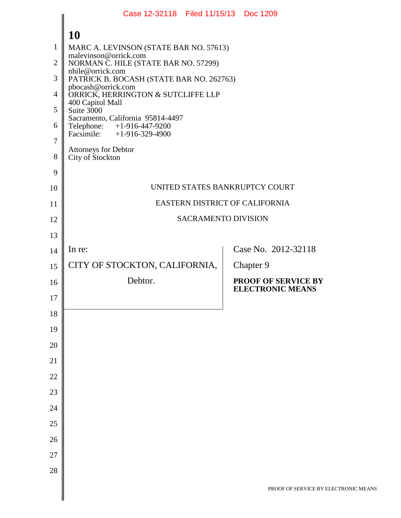|                | Case 12-32118 Filed 11/15/13 Doc 1209                           |                                                       |
|----------------|-----------------------------------------------------------------|-------------------------------------------------------|
|                | <b>10</b>                                                       |                                                       |
| 1              | MARC A. LEVINSON (STATE BAR NO. 57613)                          |                                                       |
| $\overline{2}$ | malevinson@orrick.com<br>NORMAN C. HILE (STATE BAR NO. 57299)   |                                                       |
| 3              | nhile@orrick.com<br>PATRICK B. BOCASH (STATE BAR NO. 262763)    |                                                       |
| $\overline{4}$ | pbocash@orrick.com<br>ORRICK, HERRINGTON & SUTCLIFFE LLP        |                                                       |
| 5              | 400 Capitol Mall<br>Suite 3000                                  |                                                       |
| 6              | Sacramento, California 95814-4497<br>Telephone: +1-916-447-9200 |                                                       |
| $\overline{7}$ | Facsimile: $+1-916-329-4900$                                    |                                                       |
| 8              | <b>Attorneys for Debtor</b><br>City of Stockton                 |                                                       |
| 9              |                                                                 |                                                       |
| 10             |                                                                 | UNITED STATES BANKRUPTCY COURT                        |
| 11             |                                                                 | EASTERN DISTRICT OF CALIFORNIA                        |
| 12             |                                                                 | <b>SACRAMENTO DIVISION</b>                            |
| 13             |                                                                 |                                                       |
| 14             | In re:                                                          | Case No. 2012-32118                                   |
| 15             | CITY OF STOCKTON, CALIFORNIA,                                   | Chapter 9                                             |
| 16             | Debtor.                                                         | <b>PROOF OF SERVICE BY</b><br><b>ELECTRONIC MEANS</b> |
| 17             |                                                                 |                                                       |
| 18             |                                                                 |                                                       |
| 19             |                                                                 |                                                       |
| 20             |                                                                 |                                                       |
| 21             |                                                                 |                                                       |
| 22             |                                                                 |                                                       |
| 23             |                                                                 |                                                       |
| 24             |                                                                 |                                                       |
| 25             |                                                                 |                                                       |
| 26             |                                                                 |                                                       |
| 27             |                                                                 |                                                       |
| 28             |                                                                 |                                                       |
|                |                                                                 | PROOF OF SERVICE BY ELEC                              |
|                |                                                                 |                                                       |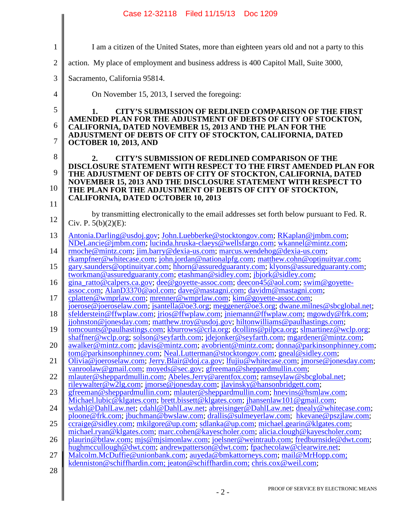|                | Case 12-32118 Filed 11/15/13 Doc 1209                                                                                                                                            |
|----------------|----------------------------------------------------------------------------------------------------------------------------------------------------------------------------------|
| $\mathbf{1}$   | I am a citizen of the United States, more than eighteen years old and not a party to this                                                                                        |
| $\overline{2}$ | action. My place of employment and business address is 400 Capitol Mall, Suite 3000,                                                                                             |
| 3              | Sacramento, California 95814.                                                                                                                                                    |
| $\overline{4}$ |                                                                                                                                                                                  |
|                | On November 15, 2013, I served the foregoing:                                                                                                                                    |
| 5              | <b>CITY'S SUBMISSION OF REDLINED COMPARISON OF THE FIRST</b><br>1.<br>AMENDED PLAN FOR THE ADJUSTMENT OF DEBTS OF CITY OF STOCKTON,                                              |
| 6              | <b>CALIFORNIA, DATED NOVEMBER 15, 2013 AND THE PLAN FOR THE</b><br>ADJUSTMENT OF DEBTS OF CITY OF STOCKTON, CALIFORNIA, DATED                                                    |
| $\tau$         | <b>OCTOBER 10, 2013, AND</b>                                                                                                                                                     |
| 8              | CITY'S SUBMISSION OF REDLINED COMPARISON OF THE<br>2.<br>DISCLOSURE STATEMENT WITH RESPECT TO THE FIRST AMENDED PLAN FOR                                                         |
| 9              | THE ADJUSTMENT OF DEBTS OF CITY OF STOCKTON, CALIFORNIA, DATED                                                                                                                   |
| 10             | NOVEMBER 15, 2013 AND THE DISCLOSURE STATEMENT WITH RESPECT TO<br>THE PLAN FOR THE ADJUSTMENT OF DEBTS OF CITY OF STOCKTON,                                                      |
| 11             | <b>CALIFORNIA, DATED OCTOBER 10, 2013</b>                                                                                                                                        |
| 12             | by transmitting electronically to the email addresses set forth below pursuant to Fed. R.<br>Civ. P. $5(b)(2)(E)$ :                                                              |
| 13             | Antonia.Darling@usdoj.gov;John.Luebberke@stocktongov.com;RKaplan@jmbm.com;                                                                                                       |
| 14             | NDeLancie@jmbm.com; lucinda.hruska-claeys@wellsfargo.com; wkannel@mintz.com;<br>rmoche@mintz.com; jim.barry@dexia-us.com; marcus.wendehog@dexia-us.com;                          |
| 15             | rkampfner@whitecase.com; john.jordan@nationalpfg.com; matthew.cohn@optinuityar.com;<br>gary.saunders@optinuityar.com; hhorn@assuredguaranty.com; klyons@assuredguaranty.com;     |
| 16             | tworkman@assuredguaranty.com; etashman@sidley.com; jbjork@sidley.com;<br>gina_ratto@calpers.ca.gov; dee@goyette-assoc.com; deecon45@aol.com; swim@goyette-                       |
| 17             | assoc.com; AlanD3370@aol.com; dave@mastagni.com; davidm@mastagni.com;                                                                                                            |
|                | cplatten@wmprlaw.com; mrenner@wmprlaw.com; kim@goyette-assoc.com;<br>joerose@joeroselaw.com; jsantella@oe3.org; meggener@oe3.org; dwane.milnes@sbcglobal.net;                    |
| 18             | sfelderstein@ffwplaw.com; jrios@ffwplaw.com; jniemann@ffwplaw.com; mgowdy@frk.com;<br>jjohnston@jonesday.com; matthew.troy@usdoj.gov; hiltonwilliams@paulhastings.com;           |
| 19             | tomcounts@paulhastings.com; kburrows@crla.org; dcollins@pilpca.org; slmartinez@wclp.org;<br>shaffner@wclp.org; solson@seyfarth.com; jdejonker@seyfarth.com; mgardener@mintz.com; |
| 20             | awalker@mintz.com; jdavis@mintz.com; avobrient@mintz.com; donna@parkinsonphinney.com;<br>tom@parkinsonphinney.com; Neal.Lutterman@stocktongov.com; gneal@sidley.com;             |
| 21             | Olivia@joeroselaw.com; Jerry.Blair@doj.ca.gov; lfujiu@whitecase.com; jmorse@jonesday.com;<br>vanroolaw@gmail.com; moyeds@sec.gov; gfreeman@sheppardmullin.com;                   |
| 22             | mlauter@sheppardmullin.com; Abeles.Jerry@arentfox.com; ramseylaw@sbcglobal.net;                                                                                                  |
| 23             | rileywalter@w2lg.com; jmorse@jonesday.com; jlavinsky@hansonbridgett.com;<br>gfreeman@sheppardmullin.com; mlauter@sheppardmullin.com; hnevins@hsmlaw.com;                         |
| 24             | Michael.lubic@klgates.com; brett.bissett@klgates.com; jhansenlaw101@gmail.com;<br>wdahl@DahlLaw.net; cdahl@DahlLaw.net; abreisinger@DahlLaw.net; dnealy@whitecase.com;           |
| 25             | ploone@frk.com; jbuchman@bwslaw.com; drallis@sulmeyerlaw.com; hkevane@pszjlaw.com;<br>ccraige@sidley.com; mkilgore@up.com; sdlanka@up.com; michael.gearin@klgates.com;           |
| 26             | michael.ryan@klgates.com; marc.cohen@kayescholer.com; alicia.clough@kayescholer.com;<br>plaurin@btlaw.com; mjs@mjsimonlaw.com; joelsner@weintraub.com; fredburnside@dwt.com;     |
| 27             | hughmccullough@dwt.com; andrewpatterson@dwt.com; fpachecolaw@clearwire.net;<br>Malcolm.McDuffie@unionbank.com; auyeda@bmkattorneys.com; mail@MrHopp.com;                         |
|                | kdenniston@schiffhardin.com; jeaton@schiffhardin.com; chris.cox@weil.com;                                                                                                        |
| 28             |                                                                                                                                                                                  |
|                | PROOF OF SERVICE BY ELECTRONIC MEANS<br>$-2-$                                                                                                                                    |
|                |                                                                                                                                                                                  |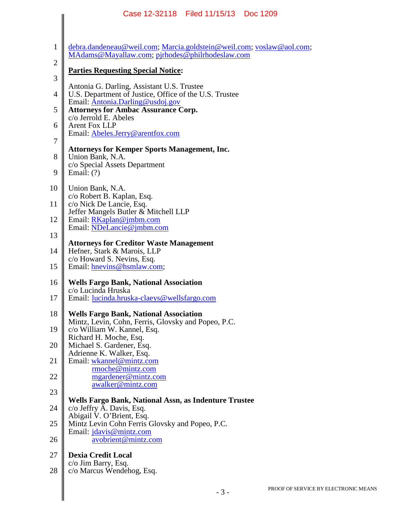| Case 12-32118 Filed 11/15/13<br>Doc 1209                                                                 |
|----------------------------------------------------------------------------------------------------------|
| debra.dandeneau@weil.com; Marcia.goldstein@weil.com; voslaw@aol.com;                                     |
| MAdams@Mayallaw.com; pjrhodes@philrhodeslaw.com                                                          |
| <b>Parties Requesting Special Notice:</b>                                                                |
| Antonia G. Darling, Assistant U.S. Trustee<br>U.S. Department of Justice, Office of the U.S. Trustee     |
| Email: Antonia.Darling@usdoj.gov<br><b>Attorneys for Ambac Assurance Corp.</b>                           |
| c/o Jerrold E. Abeles<br><b>Arent Fox LLP</b>                                                            |
| Email: Abeles.Jerry@arentfox.com                                                                         |
| <b>Attorneys for Kemper Sports Management, Inc.</b><br>Union Bank, N.A.<br>c/o Special Assets Department |
| Email: $(?)$                                                                                             |
| Union Bank, N.A.<br>c/o Robert B. Kaplan, Esq.                                                           |
| c/o Nick De Lancie, Esq.<br>Jeffer Mangels Butler & Mitchell LLP                                         |
| Email: $RKaplan@jmbm.com$<br>Email: NDeLancie@jmbm.com                                                   |
| <b>Attorneys for Creditor Waste Management</b>                                                           |
| Hefner, Stark & Marois, LLP<br>c/o Howard S. Nevins, Esq.                                                |
| Email: hnevins@hsmlaw.com;                                                                               |
| <b>Wells Fargo Bank, National Association</b>                                                            |
| c/o Lucinda Hruska<br>Email: lucinda.hruska-claeys@wellsfargo.com                                        |
| <b>Wells Fargo Bank, National Association</b><br>Mintz, Levin, Cohn, Ferris, Glovsky and Popeo, P.C.     |
| c/o William W. Kannel, Esq.<br>Richard H. Moche, Esq.                                                    |
| Michael S. Gardener, Esq.                                                                                |
| Adrienne K. Walker, Esq.<br>Email: wkannel@mintz.com                                                     |
| rmoche@mintz.com<br>mgardener@mintz.com                                                                  |
| awalker@mintz.com                                                                                        |
| Wells Fargo Bank, National Assn, as Indenture Trustee<br>c/o Jeffry A. Davis, Esq.                       |
| Abigail V. O'Brient, Esq.<br>Mintz Levin Cohn Ferris Glovsky and Popeo, P.C.                             |
| Email: jdavis@mintz.com<br>avobrient@mintz.com                                                           |
| <b>Dexia Credit Local</b>                                                                                |
| c/o Jim Barry, Esq.<br>c/o Marcus Wendehog, Esq.                                                         |
| <b>PROOF OF SERVICE</b><br>$-3-$                                                                         |
|                                                                                                          |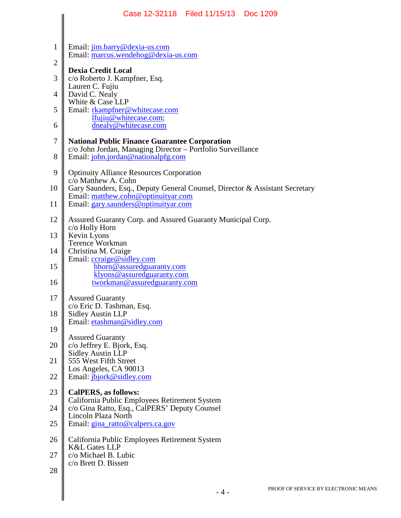|                | Case 12-32118   Filed 11/15/13<br>Doc 1209                                                                      |
|----------------|-----------------------------------------------------------------------------------------------------------------|
|                |                                                                                                                 |
| $\mathbf{1}$   | Email: jim.barry@dexia-us.com                                                                                   |
| $\overline{2}$ | Email: marcus.wendehog@dexia-us.com                                                                             |
| 3              | <b>Dexia Credit Local</b><br>c/o Roberto J. Kampfner, Esq.                                                      |
| $\overline{4}$ | Lauren C. Fujiu<br>David C. Nealy                                                                               |
| 5              | White & Case LLP<br>Email: rkampfner@whitecase.com                                                              |
| 6              | lfujiu@whitecase.com;<br>dnealy@whitecase.com                                                                   |
| 7              | <b>National Public Finance Guarantee Corporation</b>                                                            |
| 8              | c/o John Jordan, Managing Director - Portfolio Surveillance<br>Email: john.jordan@nationalpfg.com               |
| 9              | <b>Optinuity Alliance Resources Corporation</b>                                                                 |
| 10             | $c/\overline{o}$ Matthew A. Cohn<br>Gary Saunders, Esq., Deputy General Counsel, Director & Assistant Secretary |
| 11             | Email: matthew.cohn@optinuityar.com<br>Email: gary.saunders@optinuityar.com                                     |
| 12             | Assured Guaranty Corp. and Assured Guaranty Municipal Corp.                                                     |
| 13             | c/o Holly Horn<br>Kevin Lyons                                                                                   |
| 14             | <b>Terence Workman</b><br>Christina M. Craige                                                                   |
| 15             | Email: ccraige@sidley.com<br>hhorn@assuredguaranty.com                                                          |
| 16             | klyons@assuredguaranty.com                                                                                      |
|                | tworkman@assuredguaranty.com                                                                                    |
| 17             | <b>Assured Guaranty</b><br>c/o Eric D. Tashman, Esq.                                                            |
| 18             | <b>Sidley Austin LLP</b><br>Email: etashman@sidley.com                                                          |
| 19             | <b>Assured Guaranty</b>                                                                                         |
| 20             | c/o Jeffrey E. Bjork, Esq.<br><b>Sidley Austin LLP</b>                                                          |
| 21             | 555 West Fifth Street<br>Los Angeles, CA 90013                                                                  |
| 22             | Email: jbjork@sidley.com                                                                                        |
| 23             | CalPERS, as follows:<br>California Public Employees Retirement System                                           |
| 24             | c/o Gina Ratto, Esq., CalPERS' Deputy Counsel<br>Lincoln Plaza North                                            |
| 25             | Email: gina_ratto@calpers.ca.gov                                                                                |
| 26             | California Public Employees Retirement System<br><b>K&amp;L Gates LLP</b>                                       |
| 27             | c/o Michael B. Lubic<br>c/o Brett D. Bissett                                                                    |
| 28             |                                                                                                                 |
|                | PROOF OF SERVICE B<br>$-4-$                                                                                     |
|                |                                                                                                                 |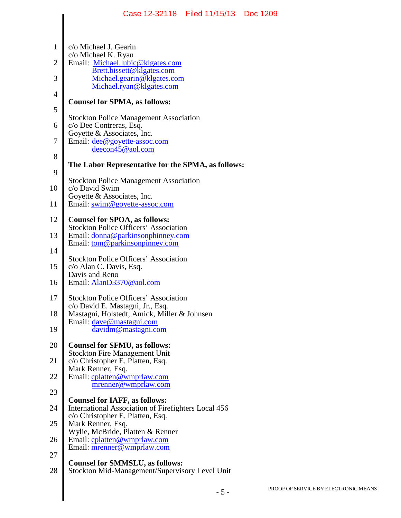|                | Case 12-32118   Filed 11/15/13   Doc 1209                                                   |       |     |
|----------------|---------------------------------------------------------------------------------------------|-------|-----|
| $\mathbf{1}$   | c/o Michael J. Gearin                                                                       |       |     |
|                | c/o Michael K. Ryan                                                                         |       |     |
| $\overline{2}$ | Email: Michael.lubic@klgates.com<br>Brett.bissett@klgates.com                               |       |     |
| 3              | Michael.gearin@klgates.com<br>Michael.ryan@klgates.com                                      |       |     |
| 4              | <b>Counsel for SPMA, as follows:</b>                                                        |       |     |
| 5              | <b>Stockton Police Management Association</b>                                               |       |     |
| 6              | c/o Dee Contreras, Esq.<br>Goyette & Associates, Inc.                                       |       |     |
| 7              | Email: dee@goyette-assoc.com<br>deecon45@aol.com                                            |       |     |
| 8              |                                                                                             |       |     |
| 9              | The Labor Representative for the SPMA, as follows:                                          |       |     |
| 10             | <b>Stockton Police Management Association</b><br>c/o David Swim                             |       |     |
| 11             | Goyette & Associates, Inc.<br>Email: swim@goyette-assoc.com                                 |       |     |
| 12             | <b>Counsel for SPOA, as follows:</b>                                                        |       |     |
| 13             | <b>Stockton Police Officers' Association</b><br>Email: donna@parkinsonphinney.com           |       |     |
| 14             | Email: tom@parkinsonpinney.com                                                              |       |     |
| 15             | <b>Stockton Police Officers' Association</b><br>c/o Alan C. Davis, Esq.                     |       |     |
| 16             | Davis and Reno<br>Email: AlanD3370@aol.com                                                  |       |     |
| 17             | <b>Stockton Police Officers' Association</b>                                                |       |     |
|                | c/o David E. Mastagni, Jr., Esq.                                                            |       |     |
| 18             | Mastagni, Holstedt, Amick, Miller & Johnsen<br>Email: dave@mastagni.com                     |       |     |
| 19             | davidm@mastagni.com                                                                         |       |     |
| 20             | <b>Counsel for SFMU, as follows:</b><br><b>Stockton Fire Management Unit</b>                |       |     |
| 21             | c/o Christopher E. Platten, Esq.<br>Mark Renner, Esq.                                       |       |     |
| 22             | Email: cplatten@wmprlaw.com                                                                 |       |     |
| 23             | mrenner@wmprlaw.com                                                                         |       |     |
| 24             | <b>Counsel for IAFF, as follows:</b><br>International Association of Firefighters Local 456 |       |     |
| 25             | c/o Christopher E. Platten, Esq.<br>Mark Renner, Esq.                                       |       |     |
| 26             | Wylie, McBride, Platten & Renner<br>Email: cplatten@wmprlaw.com                             |       |     |
| 27             | Email: <u>mrenner@wmprlaw.com</u>                                                           |       |     |
| 28             | <b>Counsel for SMMSLU, as follows:</b><br>Stockton Mid-Management/Supervisory Level Unit    |       |     |
|                |                                                                                             |       | PRC |
|                |                                                                                             | $-5-$ |     |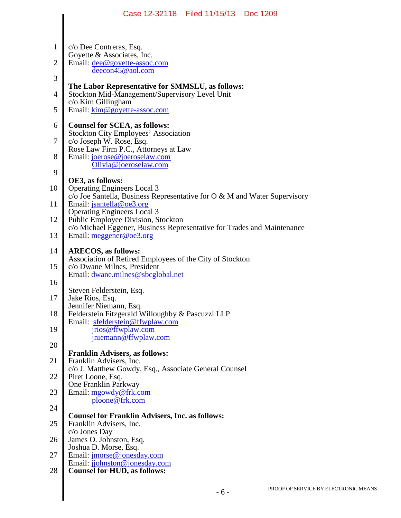|                                                                | Case 12-32118 Filed 11/15/13 Doc 1209                                                                                                                                                                                                                                                                                                                                                                                                                             |
|----------------------------------------------------------------|-------------------------------------------------------------------------------------------------------------------------------------------------------------------------------------------------------------------------------------------------------------------------------------------------------------------------------------------------------------------------------------------------------------------------------------------------------------------|
| 1<br>$\overline{2}$<br>3<br>$\overline{4}$<br>5<br>6<br>7<br>8 | c/o Dee Contreras, Esq.<br>Goyette & Associates, Inc.<br>Email: dee@goyette-assoc.com<br>deecon45@aol.com<br>The Labor Representative for SMMSLU, as follows:<br>Stockton Mid-Management/Supervisory Level Unit<br>c/o Kim Gillingham<br>Email: kim@goyette-assoc.com<br><b>Counsel for SCEA, as follows:</b><br><b>Stockton City Employees' Association</b><br>c/o Joseph W. Rose, Esq.<br>Rose Law Firm P.C., Attorneys at Law<br>Email: joerose@joeroselaw.com |
| 9                                                              | Olivia@joeroselaw.com                                                                                                                                                                                                                                                                                                                                                                                                                                             |
| 10                                                             | OE3, as follows:<br><b>Operating Engineers Local 3</b>                                                                                                                                                                                                                                                                                                                                                                                                            |
| 11                                                             | $c$ /o Joe Santella, Business Representative for O & M and Water Supervisory<br>Email: jsantella@oe3.org                                                                                                                                                                                                                                                                                                                                                          |
| 12                                                             | <b>Operating Engineers Local 3</b><br>Public Employee Division, Stockton<br>c/o Michael Eggener, Business Representative for Trades and Maintenance                                                                                                                                                                                                                                                                                                               |
| 13                                                             | Email: $meggener@oe3.org$                                                                                                                                                                                                                                                                                                                                                                                                                                         |
| 14                                                             | <b>ARECOS, as follows:</b><br>Association of Retired Employees of the City of Stockton                                                                                                                                                                                                                                                                                                                                                                            |
| 15                                                             | c/o Dwane Milnes, President<br>Email: dwane.milnes@sbcglobal.net                                                                                                                                                                                                                                                                                                                                                                                                  |
| 16                                                             | Steven Felderstein, Esq.                                                                                                                                                                                                                                                                                                                                                                                                                                          |
| 17<br>18                                                       | Jake Rios, Esq.<br>Jennifer Niemann, Esq.<br>Felderstein Fitzgerald Willoughby & Pascuzzi LLP                                                                                                                                                                                                                                                                                                                                                                     |
| 19                                                             | Email: sfelderstein@ffwplaw.com<br>jrios@ffwplaw.com<br>jniemann@ffwplaw.com                                                                                                                                                                                                                                                                                                                                                                                      |
| 20                                                             | <b>Franklin Advisers, as follows:</b>                                                                                                                                                                                                                                                                                                                                                                                                                             |
| 21                                                             | Franklin Advisers, Inc.<br>c/o J. Matthew Gowdy, Esq., Associate General Counsel                                                                                                                                                                                                                                                                                                                                                                                  |
| 22                                                             | Piret Loone, Esq.<br>One Franklin Parkway                                                                                                                                                                                                                                                                                                                                                                                                                         |
| 23<br>24                                                       | Email: mgowdy@frk.com<br>ploone@frk.com                                                                                                                                                                                                                                                                                                                                                                                                                           |
|                                                                | <b>Counsel for Franklin Advisers, Inc. as follows:</b>                                                                                                                                                                                                                                                                                                                                                                                                            |
| 25<br>26                                                       | Franklin Advisers, Inc.<br>c/o Jones Day<br>James O. Johnston, Esq.                                                                                                                                                                                                                                                                                                                                                                                               |
| 27                                                             | Joshua D. Morse, Esq.<br>Email: jmorse@jonesday.com                                                                                                                                                                                                                                                                                                                                                                                                               |
| 28                                                             | Email: jjohnston@jonesday.com<br><b>Counsel for HUD, as follows:</b>                                                                                                                                                                                                                                                                                                                                                                                              |
|                                                                | PROOF OF SERVI<br>$-6-$                                                                                                                                                                                                                                                                                                                                                                                                                                           |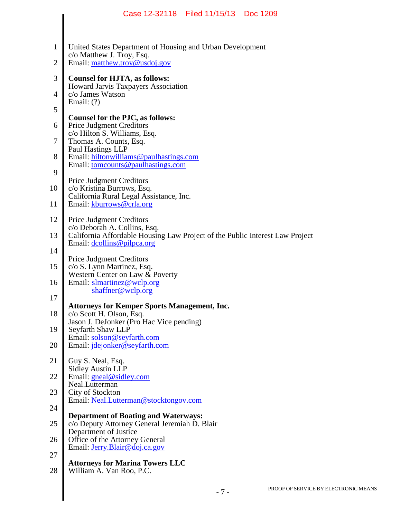|                                | Case 12-32118 Filed 11/15/13 Doc 1209                                                                                   |
|--------------------------------|-------------------------------------------------------------------------------------------------------------------------|
|                                |                                                                                                                         |
| $\mathbf{1}$<br>$\overline{c}$ | United States Department of Housing and Urban Development<br>c/o Matthew J. Troy, Esq.<br>Email: matthew.troy@usdoj.gov |
| 3                              | <b>Counsel for HJTA, as follows:</b>                                                                                    |
| 4                              | Howard Jarvis Taxpayers Association<br>c/o James Watson                                                                 |
| 5                              | Email: $(?)$                                                                                                            |
|                                | Counsel for the PJC, as follows:                                                                                        |
| 6                              | <b>Price Judgment Creditors</b><br>c/o Hilton S. Williams, Esq.                                                         |
| 7                              | Thomas A. Counts, Esq.<br>Paul Hastings LLP                                                                             |
| 8                              | Email: hiltonwilliams@paulhastings.com<br>Email: tomcounts@paulhastings.com                                             |
| 9                              | <b>Price Judgment Creditors</b>                                                                                         |
| 10                             | c/o Kristina Burrows, Esq.<br>California Rural Legal Assistance, Inc.                                                   |
| 11                             | Email: kburrows@crla.org                                                                                                |
| 12                             | <b>Price Judgment Creditors</b><br>c/o Deborah A. Collins, Esq.                                                         |
| 13                             | California Affordable Housing Law Project of the Public Interest Law Project<br>Email: dcollins@pilpca.org              |
| 14                             | <b>Price Judgment Creditors</b>                                                                                         |
| 15                             | c/o S. Lynn Martinez, Esq.<br>Western Center on Law & Poverty                                                           |
| 16                             | Email: slmartinez@wclp.org<br>shaffner@wclp.org                                                                         |
| 17                             |                                                                                                                         |
| 18                             | <b>Attorneys for Kemper Sports Management, Inc.</b><br>c/o Scott H. Olson, Esq.                                         |
| 19                             | Jason J. DeJonker (Pro Hac Vice pending)<br>Seyfarth Shaw LLP                                                           |
| 20                             | Email: solson@seyfarth.com<br>Email: jdejonker@seyfarth.com                                                             |
| 21                             | Guy S. Neal, Esq.                                                                                                       |
| 22                             | <b>Sidley Austin LLP</b><br>Email: gneal@sidley.com                                                                     |
| 23                             | Neal.Lutterman<br>City of Stockton                                                                                      |
| 24                             | Email: Neal.Lutterman@stocktongov.com                                                                                   |
| 25                             | <b>Department of Boating and Waterways:</b><br>c/o Deputy Attorney General Jeremiah D. Blair                            |
| 26                             | Department of Justice<br>Office of the Attorney General                                                                 |
| 27                             | Email: Jerry.Blair@doj.ca.gov                                                                                           |
| 28                             | <b>Attorneys for Marina Towers LLC</b><br>William A. Van Roo, P.C.                                                      |
|                                | PROOF OF SERVIC<br>$-7-$                                                                                                |
|                                |                                                                                                                         |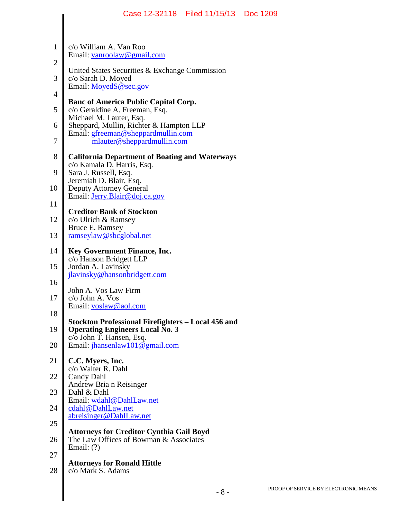|                     | Case 12-32118   Filed 11/15/13   Doc 1209                                                 |     |
|---------------------|-------------------------------------------------------------------------------------------|-----|
|                     |                                                                                           |     |
| $\mathbf{1}$        | c/o William A. Van Roo<br>Email: vanroolaw@gmail.com                                      |     |
| $\overline{2}$<br>3 | United States Securities & Exchange Commission                                            |     |
| $\overline{4}$      | c/o Sarah D. Moyed<br>Email: MoyedS@sec.gov                                               |     |
| 5                   | <b>Banc of America Public Capital Corp.</b><br>c/o Geraldine A. Freeman, Esq.             |     |
| 6                   | Michael M. Lauter, Esq.<br>Sheppard, Mullin, Richter & Hampton LLP                        |     |
| 7                   | Email: gfreeman@sheppardmullin.com<br>mlauter@sheppardmullin.com                          |     |
| 8                   | <b>California Department of Boating and Waterways</b>                                     |     |
| 9                   | c/o Kamala D. Harris, Esq.<br>Sara J. Russell, Esq.<br>Jeremiah D. Blair, Esq.            |     |
| 10                  | <b>Deputy Attorney General</b><br>Email: Jerry.Blair@doj.ca.gov                           |     |
| 11                  | <b>Creditor Bank of Stockton</b>                                                          |     |
| 12                  | c/o Ulrich & Ramsey<br>Bruce E. Ramsey                                                    |     |
| 13                  | ramseylaw@sbcglobal.net                                                                   |     |
| 14<br>15            | <b>Key Government Finance, Inc.</b><br>c/o Hanson Bridgett LLP                            |     |
| 16                  | Jordan A. Lavinsky<br>jlavinsky@hansonbridgett.com                                        |     |
| 17                  | John A. Vos Law Firm<br>c/o John A. Vos                                                   |     |
| 18                  | Email: voslaw@aol.com<br>Stockton Professional Firefighters – Local 456 and               |     |
| 19                  | <b>Operating Engineers Local No. 3</b><br>c/o John T. Hansen, Esq.                        |     |
| 20                  | Email: jhansenlaw101@gmail.com                                                            |     |
| 21                  | C.C. Myers, Inc.<br>c/o Walter R. Dahl                                                    |     |
| 22                  | Candy Dahl<br>Andrew Bria n Reisinger                                                     |     |
| 23                  | Dahl & Dahl<br>Email: wdahl@DahlLaw.net                                                   |     |
| 24                  | cdahl@DahlLaw.net<br>abreisinger@DahlLaw.net                                              |     |
| 25<br>26            | <b>Attorneys for Creditor Cynthia Gail Boyd</b><br>The Law Offices of Bowman & Associates |     |
| 27                  | Email: $(?)$                                                                              |     |
| 28                  | <b>Attorneys for Ronald Hittle</b><br>c/o Mark S. Adams                                   |     |
|                     | $-8-$                                                                                     | PRC |
|                     |                                                                                           |     |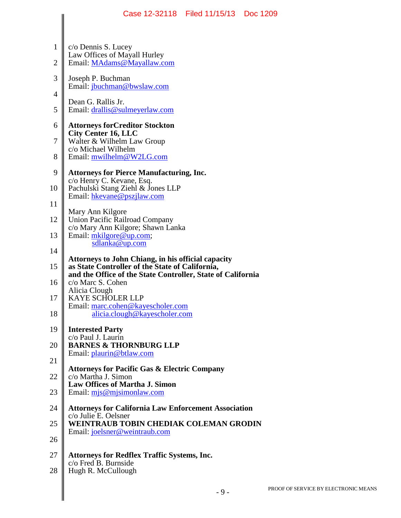|                | Case 12-32118   Filed 11/15/13   Doc 1209                                                                    |                    |
|----------------|--------------------------------------------------------------------------------------------------------------|--------------------|
| $\mathbf{1}$   |                                                                                                              |                    |
| $\overline{2}$ | c/o Dennis S. Lucey<br>Law Offices of Mayall Hurley<br>Email: MAdams@Mayallaw.com                            |                    |
| 3              | Joseph P. Buchman<br>Email: jbuchman@bwslaw.com                                                              |                    |
| $\overline{4}$ |                                                                                                              |                    |
| 5              | Dean G. Rallis Jr.<br>Email: drallis@sulmeyerlaw.com                                                         |                    |
| 6              | <b>Attorneys forCreditor Stockton</b>                                                                        |                    |
| 7              | <b>City Center 16, LLC</b><br>Walter & Wilhelm Law Group                                                     |                    |
| 8              | c/o Michael Wilhelm<br>Email: mwilhelm@W2LG.com                                                              |                    |
| 9              | <b>Attorneys for Pierce Manufacturing, Inc.</b>                                                              |                    |
| 10             | c/o Henry C. Kevane, Esq.<br>Pachulski Stang Ziehl & Jones LLP                                               |                    |
| 11             | Email: hkevane@pszjlaw.com                                                                                   |                    |
| 12             | Mary Ann Kilgore<br>Union Pacific Railroad Company                                                           |                    |
| 13             | c/o Mary Ann Kilgore; Shawn Lanka<br>Email: mkilgore@up.com;                                                 |                    |
| 14             | sdlanka@up.com                                                                                               |                    |
| 15             | <b>Attorneys to John Chiang, in his official capacity</b><br>as State Controller of the State of California, |                    |
| 16             | and the Office of the State Controller, State of California<br>c/o Marc S. Cohen                             |                    |
| 17             | Alicia Clough<br><b>KAYE SCHOLER LLP</b>                                                                     |                    |
| 18             | Email: marc.cohen@kayescholer.com<br>alicia.clough@kayescholer.com                                           |                    |
| 19             | <b>Interested Party</b><br>c/o Paul J. Laurin                                                                |                    |
| 20             | <b>BARNES &amp; THORNBURG LLP</b><br>Email: plaurin@btlaw.com                                                |                    |
| 21             | <b>Attorneys for Pacific Gas &amp; Electric Company</b>                                                      |                    |
| 22             | c/o Martha J. Simon<br><b>Law Offices of Martha J. Simon</b>                                                 |                    |
| 23             | Email: $mjs@mjsimonlaw.com$                                                                                  |                    |
| 24             | <b>Attorneys for California Law Enforcement Association</b><br>c/o Julie E. Oelsner                          |                    |
| 25             | <b>WEINTRAUB TOBIN CHEDIAK COLEMAN GRODIN</b><br>Email: joelsner@weintraub.com                               |                    |
| 26             |                                                                                                              |                    |
| 27             | <b>Attorneys for Redflex Traffic Systems, Inc.</b><br>c/o Fred B. Burnside                                   |                    |
| 28             | Hugh R. McCullough                                                                                           |                    |
|                | $-9-$                                                                                                        | PROOF <sub>0</sub> |
|                |                                                                                                              |                    |